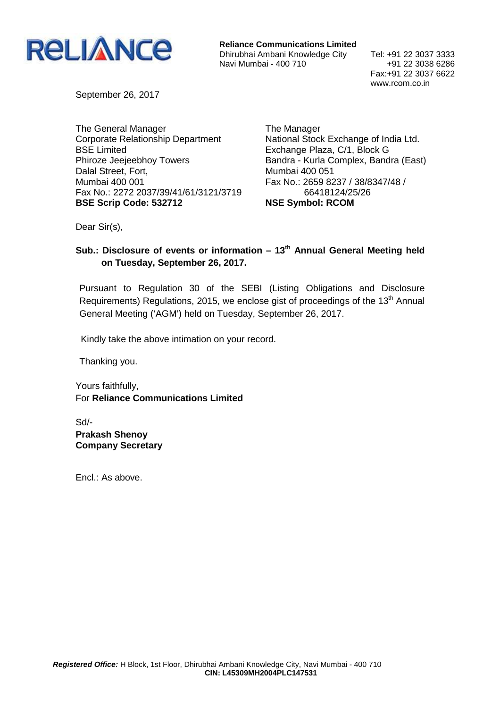

**Reliance Communications Limited** Dhirubhai Ambani Knowledge City | Tel: +91 22 3037 3333 Navi Mumbai - 400 710  $+91$  22 3038 6286

Fax:+91 22 3037 6622 www.rcom.co.in

September 26, 2017

The General Manager Corporate Relationship Department BSE Limited Phiroze Jeejeebhoy Towers Dalal Street, Fort, Mumbai 400 001 Fax No.: 2272 2037/39/41/61/3121/3719 **BSE Scrip Code: 532712** 

The Manager National Stock Exchange of India Ltd. Exchange Plaza, C/1, Block G Bandra - Kurla Complex, Bandra (East) Mumbai 400 051 Fax No.: 2659 8237 / 38/8347/48 / 66418124/25/26 **NSE Symbol: RCOM** 

Dear Sir(s),

# **Sub.: Disclosure of events or information – 13th Annual General Meeting held on Tuesday, September 26, 2017.**

Pursuant to Regulation 30 of the SEBI (Listing Obligations and Disclosure Requirements) Regulations, 2015, we enclose gist of proceedings of the  $13<sup>th</sup>$  Annual General Meeting ('AGM') held on Tuesday, September 26, 2017.

Kindly take the above intimation on your record.

Thanking you.

Yours faithfully, For **Reliance Communications Limited** 

Sd/- **Prakash Shenoy Company Secretary** 

Encl.: As above.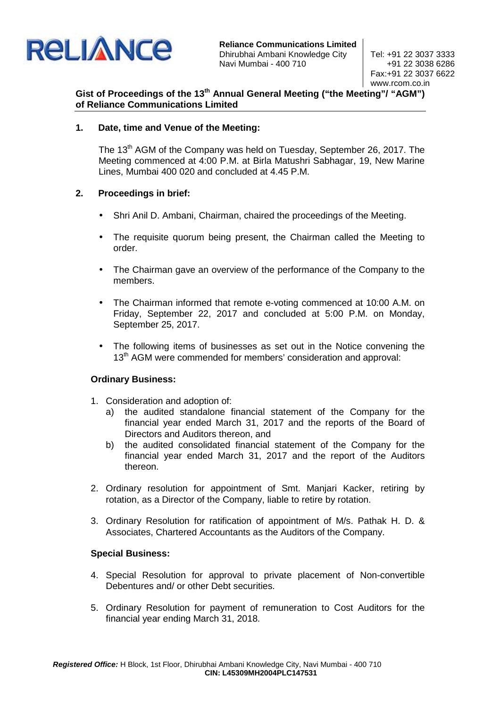

**Reliance Communications Limited** Dhirubhai Ambani Knowledge City | Tel: +91 22 3037 3333 Navi Mumbai - 400 710  $+91$  22 3038 6286

Fax:+91 22 3037 6622 www.rcom.co.in

# **Gist of Proceedings of the 13th Annual General Meeting ("the Meeting"/ "AGM") of Reliance Communications Limited**

## **1. Date, time and Venue of the Meeting:**

The 13<sup>th</sup> AGM of the Company was held on Tuesday, September 26, 2017. The Meeting commenced at 4:00 P.M. at Birla Matushri Sabhagar, 19, New Marine Lines, Mumbai 400 020 and concluded at 4.45 P.M.

## **2. Proceedings in brief:**

- Shri Anil D. Ambani, Chairman, chaired the proceedings of the Meeting.
- The requisite quorum being present, the Chairman called the Meeting to order.
- The Chairman gave an overview of the performance of the Company to the members.
- The Chairman informed that remote e-voting commenced at 10:00 A.M. on Friday, September 22, 2017 and concluded at 5:00 P.M. on Monday, September 25, 2017.
- The following items of businesses as set out in the Notice convening the 13<sup>th</sup> AGM were commended for members' consideration and approval:

# **Ordinary Business:**

- 1. Consideration and adoption of:
	- a) the audited standalone financial statement of the Company for the financial year ended March 31, 2017 and the reports of the Board of Directors and Auditors thereon, and
	- b) the audited consolidated financial statement of the Company for the financial year ended March 31, 2017 and the report of the Auditors thereon.
- 2. Ordinary resolution for appointment of Smt. Manjari Kacker, retiring by rotation, as a Director of the Company, liable to retire by rotation.
- 3. Ordinary Resolution for ratification of appointment of M/s. Pathak H. D. & Associates, Chartered Accountants as the Auditors of the Company.

#### **Special Business:**

- 4. Special Resolution for approval to private placement of Non-convertible Debentures and/ or other Debt securities.
- 5. Ordinary Resolution for payment of remuneration to Cost Auditors for the financial year ending March 31, 2018.